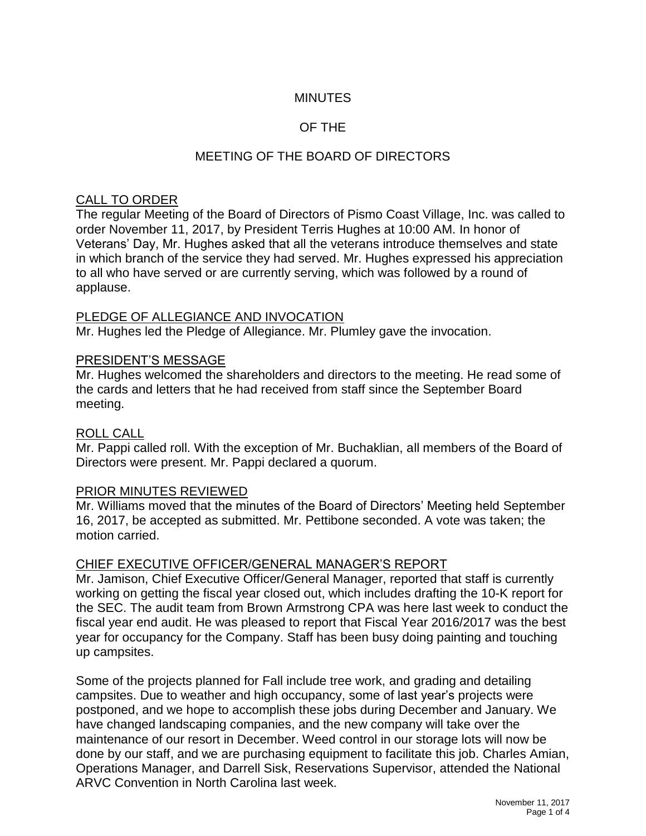## **MINUTES**

## OF THE

## MEETING OF THE BOARD OF DIRECTORS

#### CALL TO ORDER

The regular Meeting of the Board of Directors of Pismo Coast Village, Inc. was called to order November 11, 2017, by President Terris Hughes at 10:00 AM. In honor of Veterans' Day, Mr. Hughes asked that all the veterans introduce themselves and state in which branch of the service they had served. Mr. Hughes expressed his appreciation to all who have served or are currently serving, which was followed by a round of applause.

#### PLEDGE OF ALLEGIANCE AND INVOCATION

Mr. Hughes led the Pledge of Allegiance. Mr. Plumley gave the invocation.

#### PRESIDENT'S MESSAGE

Mr. Hughes welcomed the shareholders and directors to the meeting. He read some of the cards and letters that he had received from staff since the September Board meeting.

#### ROLL CALL

Mr. Pappi called roll. With the exception of Mr. Buchaklian, all members of the Board of Directors were present. Mr. Pappi declared a quorum.

#### PRIOR MINUTES REVIEWED

Mr. Williams moved that the minutes of the Board of Directors' Meeting held September 16, 2017, be accepted as submitted. Mr. Pettibone seconded. A vote was taken; the motion carried.

#### CHIEF EXECUTIVE OFFICER/GENERAL MANAGER'S REPORT

Mr. Jamison, Chief Executive Officer/General Manager, reported that staff is currently working on getting the fiscal year closed out, which includes drafting the 10-K report for the SEC. The audit team from Brown Armstrong CPA was here last week to conduct the fiscal year end audit. He was pleased to report that Fiscal Year 2016/2017 was the best year for occupancy for the Company. Staff has been busy doing painting and touching up campsites.

Some of the projects planned for Fall include tree work, and grading and detailing campsites. Due to weather and high occupancy, some of last year's projects were postponed, and we hope to accomplish these jobs during December and January. We have changed landscaping companies, and the new company will take over the maintenance of our resort in December. Weed control in our storage lots will now be done by our staff, and we are purchasing equipment to facilitate this job. Charles Amian, Operations Manager, and Darrell Sisk, Reservations Supervisor, attended the National ARVC Convention in North Carolina last week.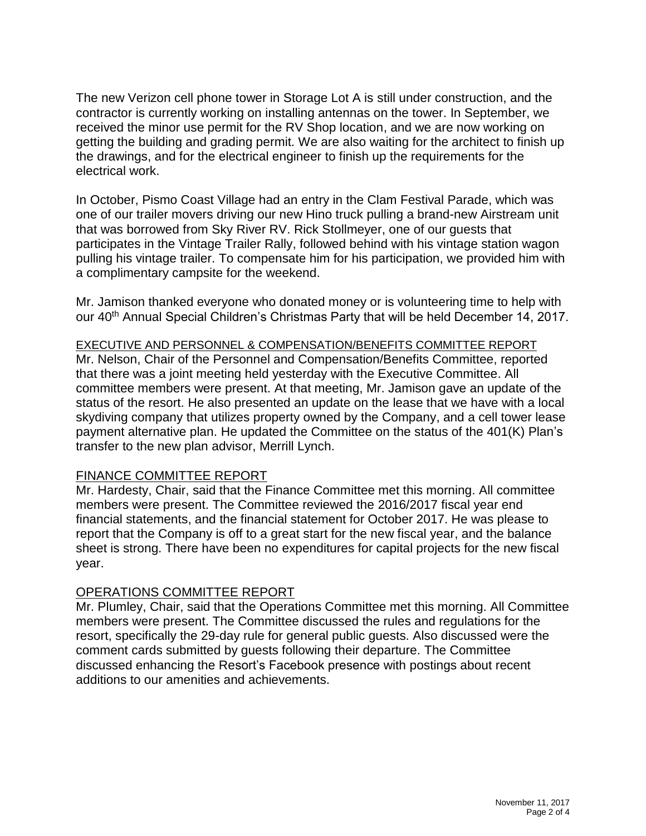The new Verizon cell phone tower in Storage Lot A is still under construction, and the contractor is currently working on installing antennas on the tower. In September, we received the minor use permit for the RV Shop location, and we are now working on getting the building and grading permit. We are also waiting for the architect to finish up the drawings, and for the electrical engineer to finish up the requirements for the electrical work.

In October, Pismo Coast Village had an entry in the Clam Festival Parade, which was one of our trailer movers driving our new Hino truck pulling a brand-new Airstream unit that was borrowed from Sky River RV. Rick Stollmeyer, one of our guests that participates in the Vintage Trailer Rally, followed behind with his vintage station wagon pulling his vintage trailer. To compensate him for his participation, we provided him with a complimentary campsite for the weekend.

Mr. Jamison thanked everyone who donated money or is volunteering time to help with our 40<sup>th</sup> Annual Special Children's Christmas Party that will be held December 14, 2017.

### EXECUTIVE AND PERSONNEL & COMPENSATION/BENEFITS COMMITTEE REPORT

Mr. Nelson, Chair of the Personnel and Compensation/Benefits Committee, reported that there was a joint meeting held yesterday with the Executive Committee. All committee members were present. At that meeting, Mr. Jamison gave an update of the status of the resort. He also presented an update on the lease that we have with a local skydiving company that utilizes property owned by the Company, and a cell tower lease payment alternative plan. He updated the Committee on the status of the 401(K) Plan's transfer to the new plan advisor, Merrill Lynch.

### FINANCE COMMITTEE REPORT

Mr. Hardesty, Chair, said that the Finance Committee met this morning. All committee members were present. The Committee reviewed the 2016/2017 fiscal year end financial statements, and the financial statement for October 2017. He was please to report that the Company is off to a great start for the new fiscal year, and the balance sheet is strong. There have been no expenditures for capital projects for the new fiscal year.

### OPERATIONS COMMITTEE REPORT

Mr. Plumley, Chair, said that the Operations Committee met this morning. All Committee members were present. The Committee discussed the rules and regulations for the resort, specifically the 29-day rule for general public guests. Also discussed were the comment cards submitted by guests following their departure. The Committee discussed enhancing the Resort's Facebook presence with postings about recent additions to our amenities and achievements.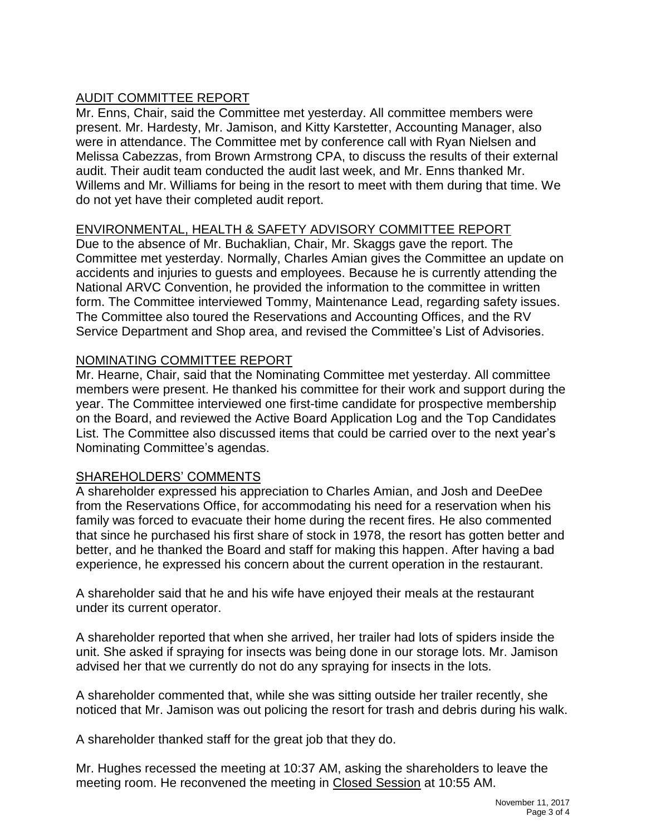# AUDIT COMMITTEE REPORT

Mr. Enns, Chair, said the Committee met yesterday. All committee members were present. Mr. Hardesty, Mr. Jamison, and Kitty Karstetter, Accounting Manager, also were in attendance. The Committee met by conference call with Ryan Nielsen and Melissa Cabezzas, from Brown Armstrong CPA, to discuss the results of their external audit. Their audit team conducted the audit last week, and Mr. Enns thanked Mr. Willems and Mr. Williams for being in the resort to meet with them during that time. We do not yet have their completed audit report.

## ENVIRONMENTAL, HEALTH & SAFETY ADVISORY COMMITTEE REPORT

Due to the absence of Mr. Buchaklian, Chair, Mr. Skaggs gave the report. The Committee met yesterday. Normally, Charles Amian gives the Committee an update on accidents and injuries to guests and employees. Because he is currently attending the National ARVC Convention, he provided the information to the committee in written form. The Committee interviewed Tommy, Maintenance Lead, regarding safety issues. The Committee also toured the Reservations and Accounting Offices, and the RV Service Department and Shop area, and revised the Committee's List of Advisories.

## NOMINATING COMMITTEE REPORT

Mr. Hearne, Chair, said that the Nominating Committee met yesterday. All committee members were present. He thanked his committee for their work and support during the year. The Committee interviewed one first-time candidate for prospective membership on the Board, and reviewed the Active Board Application Log and the Top Candidates List. The Committee also discussed items that could be carried over to the next year's Nominating Committee's agendas.

### SHAREHOLDERS' COMMENTS

A shareholder expressed his appreciation to Charles Amian, and Josh and DeeDee from the Reservations Office, for accommodating his need for a reservation when his family was forced to evacuate their home during the recent fires. He also commented that since he purchased his first share of stock in 1978, the resort has gotten better and better, and he thanked the Board and staff for making this happen. After having a bad experience, he expressed his concern about the current operation in the restaurant.

A shareholder said that he and his wife have enjoyed their meals at the restaurant under its current operator.

A shareholder reported that when she arrived, her trailer had lots of spiders inside the unit. She asked if spraying for insects was being done in our storage lots. Mr. Jamison advised her that we currently do not do any spraying for insects in the lots.

A shareholder commented that, while she was sitting outside her trailer recently, she noticed that Mr. Jamison was out policing the resort for trash and debris during his walk.

A shareholder thanked staff for the great job that they do.

Mr. Hughes recessed the meeting at 10:37 AM, asking the shareholders to leave the meeting room. He reconvened the meeting in Closed Session at 10:55 AM.